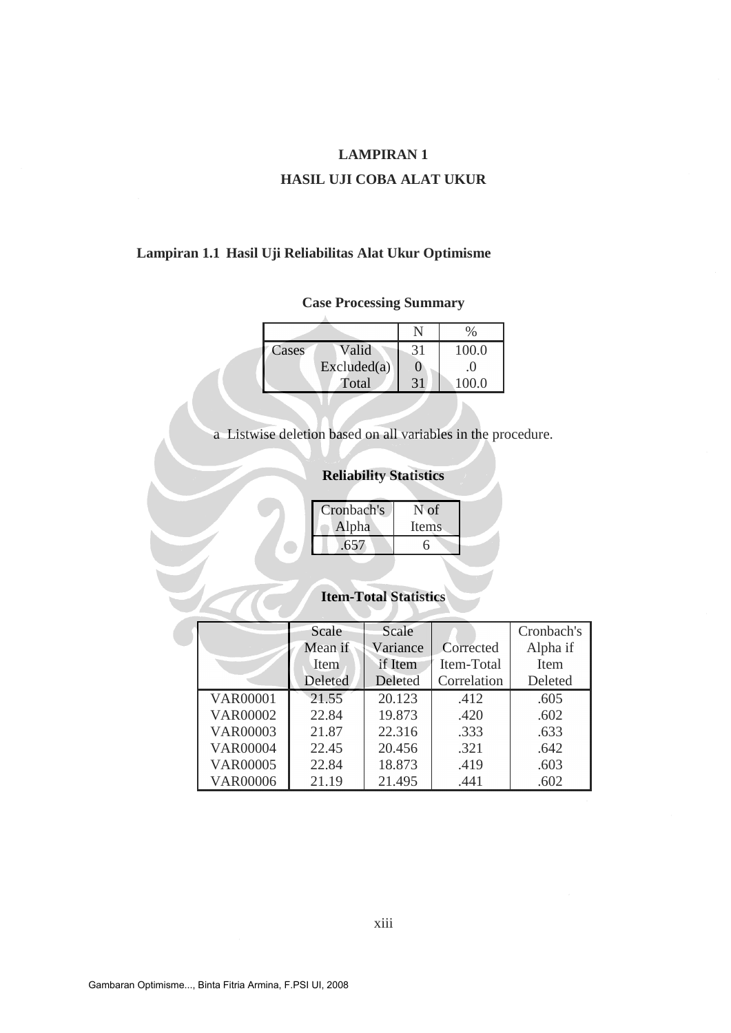### **HASIL UJI COBA ALAT UKUR**

## **Lampiran 1.1 Hasil Uji Reliabilitas Alat Ukur Optimisme**

### **Case Processing Summary**

| Cases | Valid       | 31 | 100.0 |
|-------|-------------|----|-------|
|       | Excluded(a) |    | 0     |
|       | Total       | 31 | 100.0 |

a Listwise deletion based on all variables in the procedure.

## **Reliability Statistics**

| Cronbach's | N of  |  |
|------------|-------|--|
| Alpha      | Items |  |
| .657       |       |  |
|            |       |  |

# **Item-Total Statistics**

|                 | Scale   | Scale    |             | Cronbach's |
|-----------------|---------|----------|-------------|------------|
|                 | Mean if | Variance | Corrected   | Alpha if   |
|                 | Item    | if Item  | Item-Total  | Item       |
|                 | Deleted | Deleted  | Correlation | Deleted    |
| <b>VAR00001</b> | 21.55   | 20.123   | .412        | .605       |
| <b>VAR00002</b> | 22.84   | 19.873   | .420        | .602       |
| VAR00003        | 21.87   | 22.316   | .333        | .633       |
| <b>VAR00004</b> | 22.45   | 20.456   | .321        | .642       |
| <b>VAR00005</b> | 22.84   | 18.873   | .419        | .603       |
| <b>VAR00006</b> | 21.19   | 21.495   | .441        | .602       |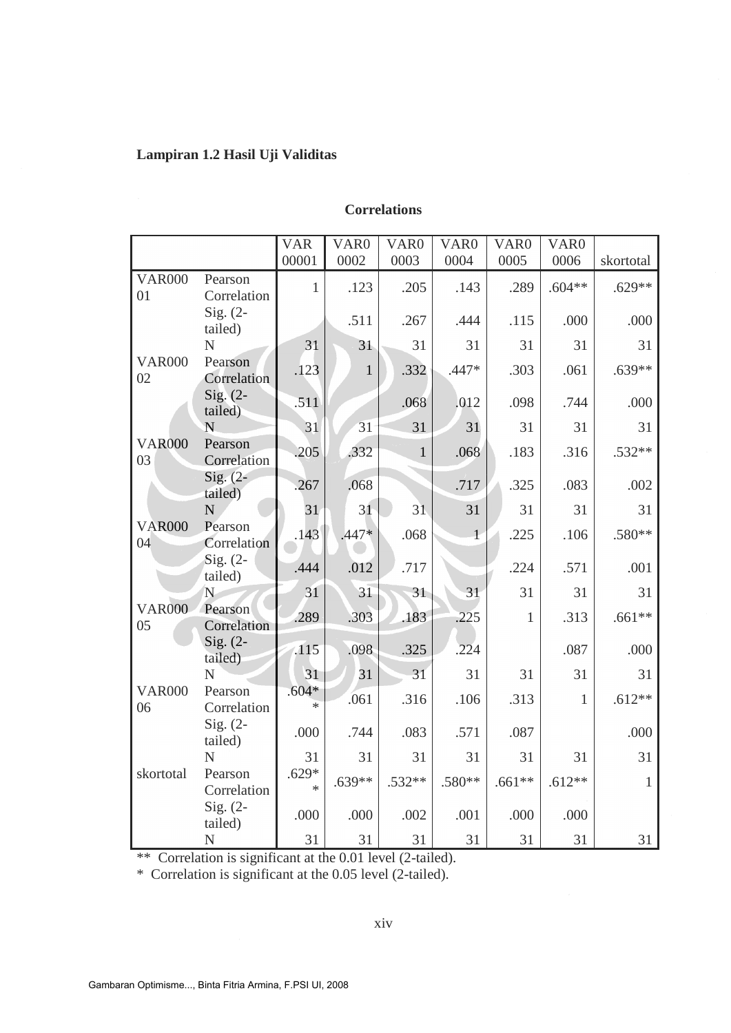## **Lampiran 1.2 Hasil Uji Validitas**

### **Correlations**

|                     |                        | <b>VAR</b><br>00001 | VAR <sub>0</sub><br>0002 | VAR <sub>0</sub><br>0003 | VAR <sub>0</sub><br>0004 | VAR <sub>0</sub><br>0005 | VAR <sub>0</sub><br>0006 | skortotal    |
|---------------------|------------------------|---------------------|--------------------------|--------------------------|--------------------------|--------------------------|--------------------------|--------------|
|                     |                        |                     |                          |                          |                          |                          |                          |              |
| <b>VAR000</b><br>01 | Pearson<br>Correlation | $\mathbf{1}$        | .123                     | .205                     | .143                     | .289                     | $.604**$                 | $.629**$     |
|                     | Sig. $(2-$<br>tailed)  |                     | .511                     | .267                     | .444                     | .115                     | .000                     | .000         |
|                     | N                      | 31                  | 31                       | 31                       | 31                       | 31                       | 31                       | 31           |
| <b>VAR000</b><br>02 | Pearson<br>Correlation | .123                | $\mathbf{1}$             | .332                     | .447*                    | .303                     | .061                     | $.639**$     |
|                     | $Sig. (2-$<br>tailed)  | .511                |                          | .068                     | .012                     | .098                     | .744                     | .000         |
|                     | N                      | 31                  | 31                       | 31                       | 31                       | 31                       | 31                       | 31           |
| <b>VAR000</b><br>03 | Pearson<br>Correlation | .205                | .332                     | $\mathbf{1}$             | .068                     | .183                     | .316                     | $.532**$     |
|                     | $Sig. (2-$<br>tailed)  | .267                | .068                     |                          | .717                     | .325                     | .083                     | .002         |
|                     | $\overline{N}$         | 31                  | 31                       | 31                       | 31                       | 31                       | 31                       | 31           |
| <b>VAR000</b><br>04 | Pearson<br>Correlation | .143                | $.447*$                  | .068                     | $\overline{1}$           | .225                     | .106                     | .580**       |
|                     | $Sig. (2-$<br>tailed)  | .444                | .012                     | .717                     |                          | .224                     | .571                     | .001         |
|                     | N                      | 31                  | 31                       | 31                       | 31                       | 31                       | 31                       | 31           |
| <b>VAR000</b><br>05 | Pearson<br>Correlation | .289                | .303                     | .183                     | .225                     | $\mathbf{1}$             | .313                     | $.661**$     |
|                     | Sig. $(2 -$<br>tailed) | .115                | .098                     | .325                     | .224                     |                          | .087                     | .000         |
|                     | N                      | 31                  | 31                       | 31                       | 31                       | 31                       | 31                       | 31           |
| <b>VAR000</b><br>06 | Pearson<br>Correlation | $.604*$<br>$\ast$   | .061                     | .316                     | .106                     | .313                     | $\mathbf{1}$             | $.612**$     |
|                     | Sig. $(2-$<br>tailed)  | .000                | .744                     | .083                     | .571                     | .087                     |                          | .000         |
|                     | $\mathbf N$            | 31                  | 31                       | 31                       | 31                       | 31                       | 31                       | 31           |
| skortotal           | Pearson<br>Correlation | $.629*$<br>$\ast$   | $.639**$                 | $.532**$                 | $.580**$                 | $.661**$                 | $.612**$                 | $\mathbf{1}$ |
|                     | $Sig. (2-$<br>tailed)  | .000                | .000                     | .002                     | .001                     | .000                     | .000                     |              |
|                     | N                      | 31                  | 31                       | 31                       | 31                       | 31                       | 31                       | 31           |

\*\* Correlation is significant at the 0.01 level (2-tailed).

\* Correlation is significant at the 0.05 level (2-tailed).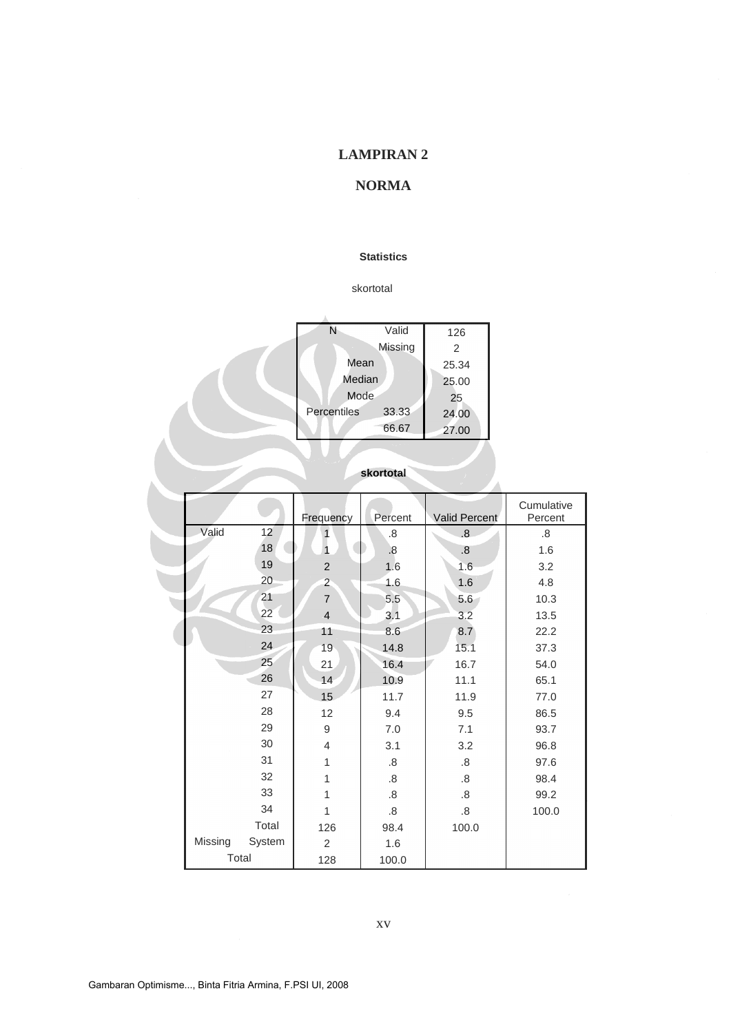# **NORMA**

#### **Statistics**

#### skortotal

| Ν           | Valid   | 126   |
|-------------|---------|-------|
|             | Missing | 2     |
| Mean        |         | 25.34 |
| Median      | 25.00   |       |
| Mode        |         | 25    |
| Percentiles | 33.33   | 24.00 |
|             | 66.67   | 27.00 |
|             |         |       |

|         |          | Frequency      | Percent | <b>Valid Percent</b> | Cumulative<br>Percent |
|---------|----------|----------------|---------|----------------------|-----------------------|
| Valid   | 12       | 1              | .8      | 8.5                  | .8                    |
|         | 18       |                | 8.5     | .8                   | 1.6                   |
|         | 19       | 2              | 1.6     | 1.6                  | 3.2                   |
|         | 20       | $\overline{2}$ | 1.6     | 1.6                  | 4.8                   |
|         | 21       | $\overline{7}$ | 5.5     | 5.6                  | 10.3                  |
|         | $22^{2}$ | $\overline{4}$ | 3.1     | 3.2                  | 13.5                  |
|         | 23       | 11             | 8.6     | 8.7                  | 22.2                  |
|         | 24       | 19             | 14.8    | 15.1                 | 37.3                  |
|         | 25       | 21             | 16.4    | 16.7                 | 54.0                  |
|         | 26       | 14             | 10.9    | 11.1                 | 65.1                  |
|         | 27       | 15             | 11.7    | 11.9                 | 77.0                  |
|         | 28       | 12             | 9.4     | 9.5                  | 86.5                  |
|         | 29       | 9              | 7.0     | 7.1                  | 93.7                  |
|         | 30       | $\overline{4}$ | 3.1     | 3.2                  | 96.8                  |
|         | 31       | $\mathbf{1}$   | 8.5     | .8                   | 97.6                  |
|         | 32       | 1              | 8.5     | .8                   | 98.4                  |
|         | 33       | 1              | .8      | .8                   | 99.2                  |
|         | 34       | 1              | .8      | 8.5                  | 100.0                 |
|         | Total    | 126            | 98.4    | 100.0                |                       |
| Missing | System   | 2              | 1.6     |                      |                       |
|         | Total    | 128            | 100.0   |                      |                       |

**skortotal**

xv

Ì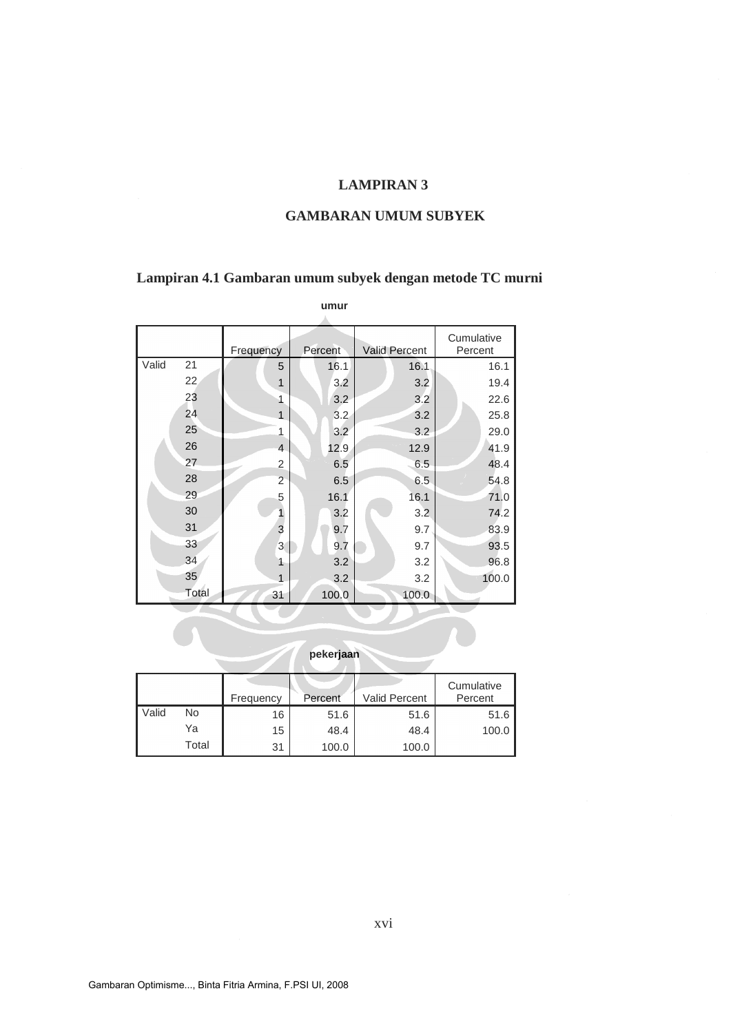### **GAMBARAN UMUM SUBYEK**

## **Lampiran 4.1 Gambaran umum subyek dengan metode TC murni**

|       |       |                | umur    |                      |                       |
|-------|-------|----------------|---------|----------------------|-----------------------|
|       |       | Frequency      | Percent | <b>Valid Percent</b> | Cumulative<br>Percent |
| Valid | 21    | 5              | 16.1    | 16.1                 | 16.1                  |
|       | 22    | $\mathbf 1$    | 3.2     | 3.2                  | 19.4                  |
|       | 23    | 1              | 3.2     | 3.2                  | 22.6                  |
|       | 24    | $\mathbf{1}$   | 3.2     | 3.2                  | 25.8                  |
|       | 25    | 1              | 3.2     | 3.2                  | 29.0                  |
|       | 26    | $\overline{4}$ | 12.9    | 12.9                 | 41.9                  |
|       | 27    | $\overline{2}$ | 6.5     | 6.5                  | 48.4                  |
|       | 28    | $\overline{2}$ | 6.5     | 6.5                  | 54.8                  |
|       | 29    | 5              | 16.1    | 16.1                 | 71.0                  |
|       | 30    | 1              | 3.2     | 3.2                  | 74.2                  |
|       | 31    | 3              | 9.7     | 9.7                  | 83.9                  |
|       | 33    | $\overline{3}$ | 9.7     | 9.7                  | 93.5                  |
|       | 34    | 1              | 3.2     | 3.2                  | 96.8                  |
|       | 35    | 1              | 3.2     | 3.2                  | 100.0                 |
|       | Total | 31             | 100.0   | 100.0                |                       |

|       |       | Frequency | Percent | <b>Valid Percent</b> | Cumulative<br>Percent |
|-------|-------|-----------|---------|----------------------|-----------------------|
| Valid | No    | 16        | 51.6    | 51.6                 | 51.6                  |
|       | Ya    | 15        | 48.4    | 48.4                 | 100.0                 |
|       | Total | 31        | 100.0   | 100.0                |                       |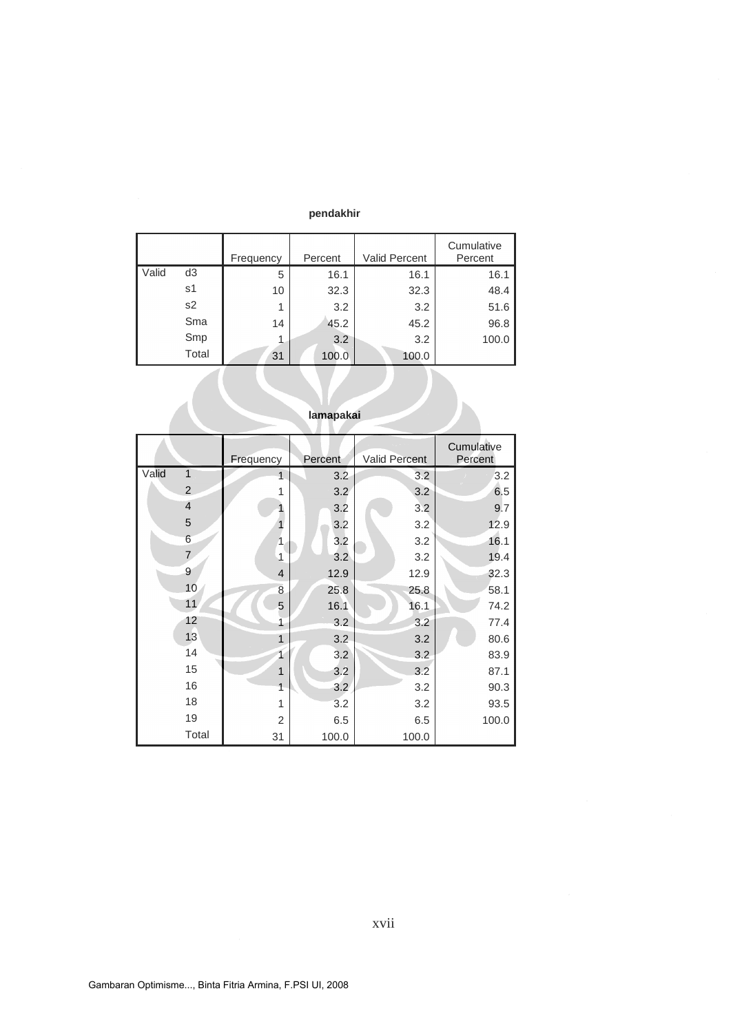#### **pendakhir**

|       |                | Frequency | Percent | <b>Valid Percent</b> | Cumulative<br>Percent |
|-------|----------------|-----------|---------|----------------------|-----------------------|
| Valid | d <sub>3</sub> | 5         | 16.1    | 16.1                 | 16.1                  |
|       | s1             | 10        | 32.3    | 32.3                 | 48.4                  |
|       | s2             | 1         | 3.2     | 3.2                  | 51.6                  |
|       | Sma            | 14        | 45.2    | 45.2                 | 96.8                  |
|       | Smp            | 1         | 3.2     | 3.2                  | 100.0                 |
|       | Total          | 31        | 100.0   | 100.0                |                       |

|                | Frequency      | Percent | Valid Percent | Cumulative<br>Percent |
|----------------|----------------|---------|---------------|-----------------------|
| Valid<br>1     | $\overline{1}$ | 3.2     | 3.2           | 3.2                   |
| $\overline{c}$ | 1              | 3.2     | 3.2           | 6.5                   |
| $\overline{4}$ |                | 3.2     | 3.2           | 9.7                   |
| 5              |                | 3.2     | 3.2           | 12.9                  |
| 6              | 1              | 3.2     | 3.2           | 16.1                  |
| $\overline{7}$ | 1              | 3.2     | 3.2           | 19.4                  |
| 9              | $\overline{4}$ | 12.9    | 12.9          | 32.3                  |
| 10             | $\,8\,$        | 25.8    | 25.8          | 58.1                  |
| 11             | 5              | 16.1    | 16.1          | 74.2                  |
| 12             | 1              | 3.2     | 3.2           | 77.4                  |
| 13             | $\overline{1}$ | 3.2     | 3.2           | 80.6                  |
| 14             | 1              | 3.2     | 3.2           | 83.9                  |
| 15             | $\overline{1}$ | 3.2     | 3.2           | 87.1                  |
| 16             | 1              | 3.2     | 3.2           | 90.3                  |
| 18             | 1              | 3.2     | 3.2           | 93.5                  |
| 19             | $\overline{2}$ | 6.5     | 6.5           | 100.0                 |
| Total          | 31             | 100.0   | 100.0         |                       |

## **lamapakai**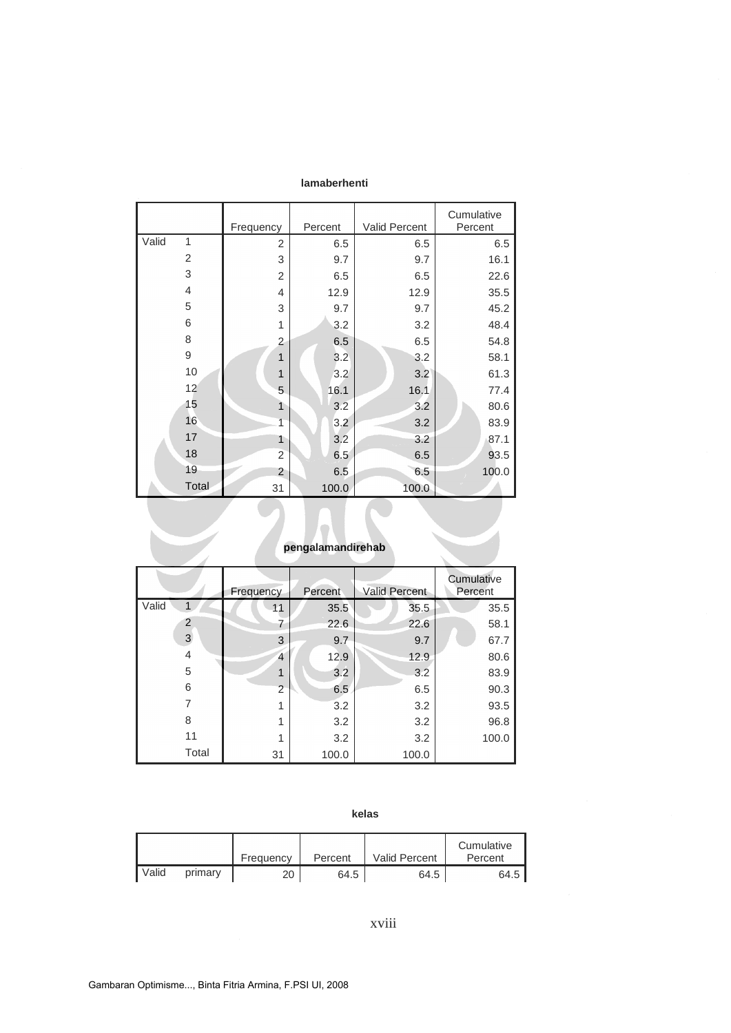| lamaberhenti |  |
|--------------|--|
|--------------|--|

|                   |                | Frequency      | Percent | Valid Percent | Cumulative<br>Percent |  |
|-------------------|----------------|----------------|---------|---------------|-----------------------|--|
| Valid             | 1              | $\overline{2}$ | 6.5     | 6.5           | 6.5                   |  |
|                   | $\overline{2}$ | 3              | 9.7     | 9.7           | 16.1                  |  |
|                   | 3              | $\overline{2}$ | 6.5     | 6.5           | 22.6                  |  |
|                   | $\overline{4}$ | 4              | 12.9    | 12.9          | 35.5                  |  |
|                   | 5              | 3              | 9.7     | 9.7           | 45.2                  |  |
|                   | 6              | 1              | 3.2     | 3.2           | 48.4                  |  |
|                   | 8              | 2              | 6.5     | 6.5           | 54.8                  |  |
|                   | 9              | $\mathbf{1}$   | 3.2     | 3.2           | 58.1                  |  |
|                   | 10             | $\overline{1}$ | 3.2     | 3.2           | 61.3                  |  |
|                   | 12             | 5              | 16.1    | 16,1          | 77.4                  |  |
|                   | 15             | $\mathbf{1}$   | 3.2     | 3.2           | 80.6                  |  |
|                   | 16             | $\overline{1}$ | 3.2     | 3.2           | 83.9                  |  |
|                   | 17             | 1              | 3.2     | 3.2           | 87.1                  |  |
|                   | 18             | $\overline{c}$ | 6.5     | 6.5           | 93.5                  |  |
|                   | 19             | $\overline{2}$ | 6.5     | 6.5           | 100.0                 |  |
|                   | Total          | 31             | 100.0   | 100.0         |                       |  |
| pengalamandirehab |                |                |         |               |                       |  |

# **pengalamandirehab**

|              | Frequency      | Percent | <b>Valid Percent</b> | Cumulative<br>Percent |
|--------------|----------------|---------|----------------------|-----------------------|
| Valid        | 11             | 35.5    | 35.5                 | 35.5                  |
| 2            | 7              | 22.6    | 22.6                 | 58.1                  |
| $\mathbf{3}$ | 3              | 9.7     | 9.7                  | 67.7                  |
| 4            | $\overline{4}$ | 12.9    | 12.9                 | 80.6                  |
| 5            | 1              | 3.2     | 3.2                  | 83.9                  |
| 6            | $\overline{2}$ | 6.5     | 6.5                  | 90.3                  |
| 7            | 1              | 3.2     | 3.2                  | 93.5                  |
| 8            | 1              | 3.2     | 3.2                  | 96.8                  |
| 11           | 1              | 3.2     | 3.2                  | 100.0                 |
| Total        | 31             | 100.0   | 100.0                |                       |

|       |         | Frequency | Percent | <b>Valid Percent</b> | Cumulative<br>Percent |
|-------|---------|-----------|---------|----------------------|-----------------------|
| Valid | primary | 20        | 64.5    | 64.5                 | 64.5                  |

xviii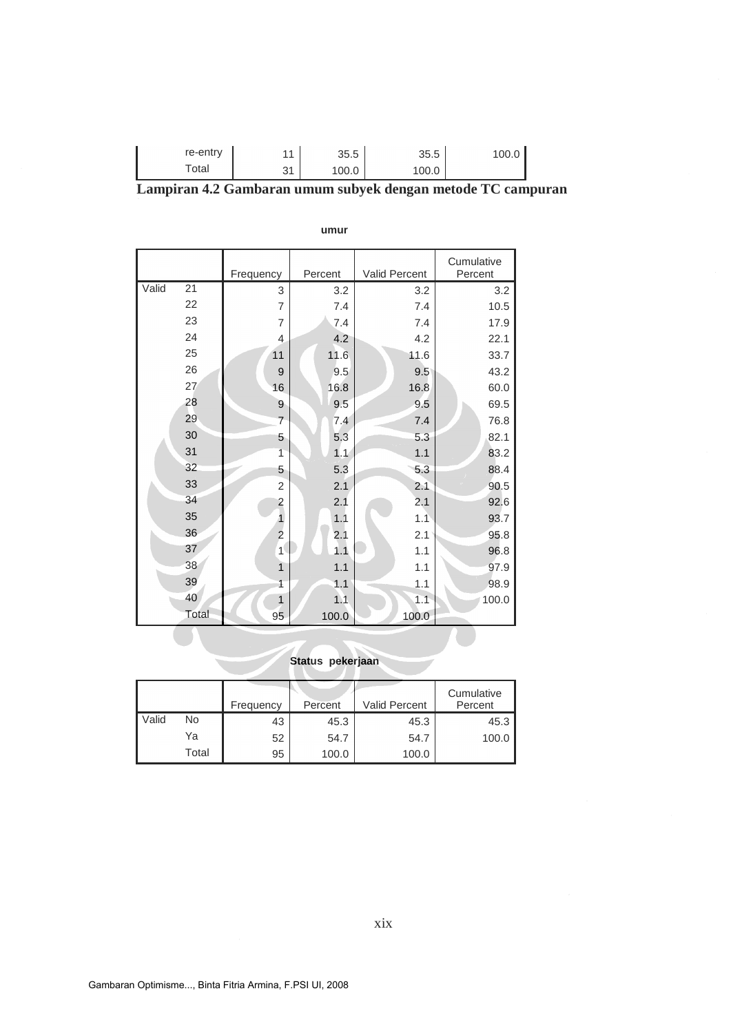| re-entry | $\boldsymbol{A}$ | 35.5  | 35.5  | 100.0 |
|----------|------------------|-------|-------|-------|
| ⊤otal    | ົ                | 100.0 | 100.0 |       |

|  | Lampiran 4.2 Gambaran umum subyek dengan metode TC campuran |  |  |  |
|--|-------------------------------------------------------------|--|--|--|
|  |                                                             |  |  |  |

|       |       |                |         |                      | Cumulative |
|-------|-------|----------------|---------|----------------------|------------|
|       |       | Frequency      | Percent | <b>Valid Percent</b> | Percent    |
| Valid | 21    | 3              | 3.2     | 3.2                  | 3.2        |
|       | 22    | $\overline{7}$ | 7.4     | 7.4                  | 10.5       |
|       | 23    | $\overline{7}$ | 7.4     | 7.4                  | 17.9       |
|       | 24    | $\overline{4}$ | 4.2     | 4.2                  | 22.1       |
|       | 25    | 11             | 11.6    | 11.6                 | 33.7       |
|       | 26    | 9              | 9.5     | 9.5                  | 43.2       |
|       | 27    | 16             | 16.8    | 16.8                 | 60.0       |
|       | 28    | $\overline{9}$ | 9.5     | 9.5                  | 69.5       |
|       | 29    | $\overline{7}$ | 7.4     | 7.4                  | 76.8       |
|       | 30    | 5              | 5.3     | 5.3                  | 82.1       |
|       | 31    | $\overline{1}$ | 1.1     | 1.1                  | 83.2       |
|       | 32    | 5              | 5.3     | 5.3                  | 88.4       |
|       | 33    | $\overline{2}$ | 2.1     | 2.1                  | 90.5       |
|       | 34    | 2              | 2.1     | 2.1                  | 92.6       |
|       | 35    | 1              | 1.1     | 1.1                  | 93.7       |
|       | 36    | $\overline{c}$ | 2.1     | 2.1                  | 95.8       |
|       | 37    | 1              | 1.1     | 1.1                  | 96.8       |
|       | 38    | 1              | 1.1     | 1.1                  | 97.9       |
|       | 39    | 1              | 1.1     | 1.1                  | 98.9       |
|       | 40    | $\overline{1}$ | 1.1     | 1.1                  | 100.0      |
|       | Total | 95             | 100.0   | 100.0                |            |

#### **umur**

# **Status pekerjaan**

|       |       | Frequency | Percent | <b>Valid Percent</b> | Cumulative<br>Percent |
|-------|-------|-----------|---------|----------------------|-----------------------|
| Valid | No    | 43        | 45.3    | 45.3                 | 45.3                  |
|       | Ya    | 52        | 54.7    | 54.7                 | 100.0                 |
|       | Total | 95        | 100.0   | 100.0                |                       |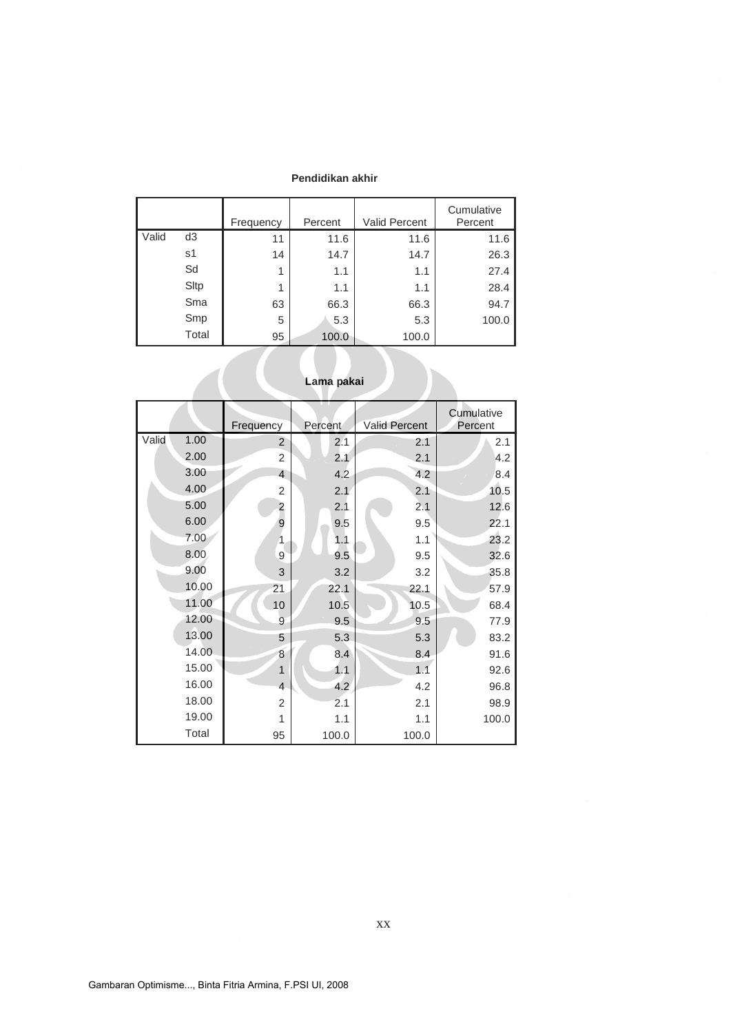#### **Pendidikan akhir**

|            |                | Frequency | Percent | <b>Valid Percent</b> | Cumulative<br>Percent |  |
|------------|----------------|-----------|---------|----------------------|-----------------------|--|
| Valid      | d <sub>3</sub> | 11        | 11.6    | 11.6                 | 11.6                  |  |
|            | s1             | 14        | 14.7    | 14.7                 | 26.3                  |  |
|            | Sd             | 1         | 1.1     | 1.1                  | 27.4                  |  |
|            | Sltp           | 1         | 1.1     | 1.1                  | 28.4                  |  |
|            | Sma            | 63        | 66.3    | 66.3                 | 94.7                  |  |
|            | Smp            | 5         | 5.3     | 5.3                  | 100.0                 |  |
|            | Total          | 95        | 100.0   | 100.0                |                       |  |
| Lama pakai |                |           |         |                      |                       |  |

|       |       | Frequency      | Percent | <b>Valid Percent</b> | Cumulative<br>Percent |
|-------|-------|----------------|---------|----------------------|-----------------------|
| Valid | 1.00  | $\overline{2}$ | 2.1     | 2.1                  | 2.1                   |
|       | 2.00  | $\overline{2}$ | 2.1     | 2.1                  | 4.2                   |
|       | 3.00  | $\overline{4}$ | 4.2     | 4.2                  | 8.4                   |
|       | 4.00  | $\overline{2}$ | 2.1     | 2.1                  | 10.5                  |
|       | 5.00  | 2              | 2.1     | 2.1                  | 12.6                  |
|       | 6.00  | 9              | 9.5     | 9.5                  | 22.1                  |
|       | 7.00  | 1              | 1.1     | 1.1                  | 23.2                  |
|       | 8.00  | 9              | 9.5     | 9.5                  | 32.6                  |
|       | 9.00  | 3              | 3.2     | 3.2                  | 35.8                  |
|       | 10.00 | 21             | 22.1    | 22.1                 | 57.9                  |
|       | 11.00 | 10             | 10.5    | 10.5                 | 68.4                  |
|       | 12.00 | 9              | 9.5     | 9.5                  | 77.9                  |
|       | 13.00 | 5              | 5.3     | 5.3                  | 83.2                  |
|       | 14.00 | 8              | 8.4     | 8.4                  | 91.6                  |
|       | 15.00 | $\mathbf{1}$   | 1.1     | 1.1                  | 92.6                  |
|       | 16.00 | $\overline{4}$ | 4.2     | 4.2                  | 96.8                  |
|       | 18.00 | $\overline{2}$ | 2.1     | 2.1                  | 98.9                  |
|       | 19.00 | 1              | 1.1     | 1.1                  | 100.0                 |
|       | Total | 95             | 100.0   | 100.0                |                       |

| Lama pakai |  |  |
|------------|--|--|
|------------|--|--|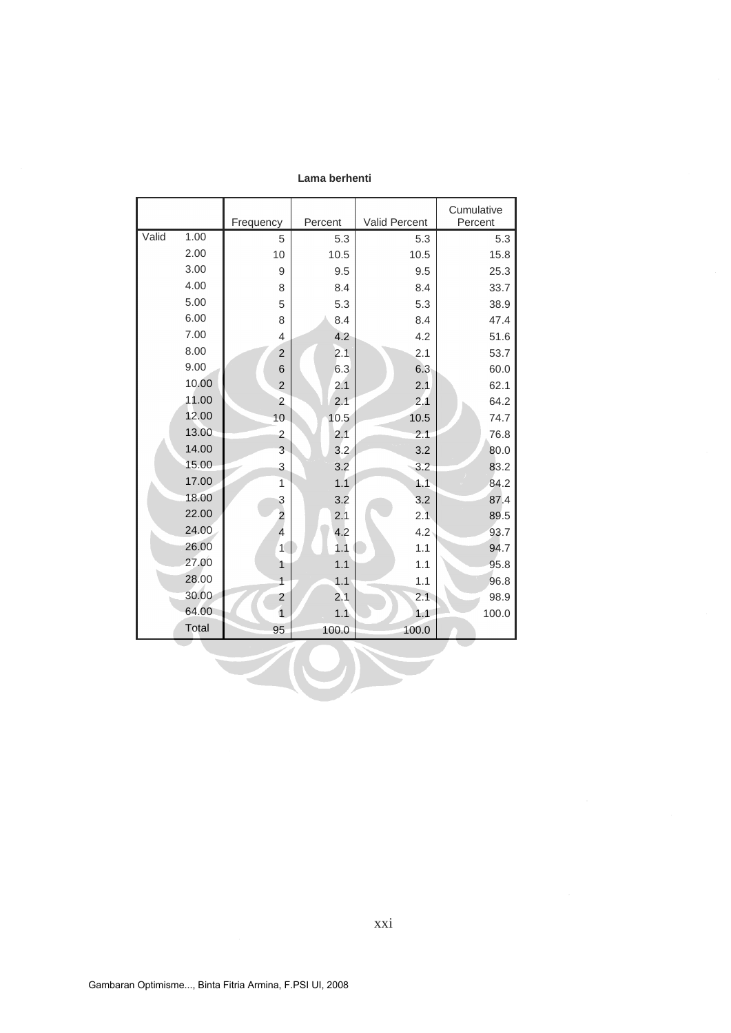|       |       | Frequency               | Percent | Valid Percent | Cumulative<br>Percent |
|-------|-------|-------------------------|---------|---------------|-----------------------|
| Valid | 1.00  | 5                       | 5.3     | 5.3           | 5.3                   |
|       | 2.00  | 10                      | 10.5    | 10.5          | 15.8                  |
|       | 3.00  | 9                       | 9.5     | 9.5           | 25.3                  |
|       | 4.00  | 8                       | 8.4     | 8.4           | 33.7                  |
|       | 5.00  | 5                       | 5.3     | 5.3           | 38.9                  |
|       | 6.00  | 8                       | 8.4     | 8.4           | 47.4                  |
|       | 7.00  | 4                       | 4.2     | 4.2           | 51.6                  |
|       | 8.00  | $\overline{\mathbf{c}}$ | 2.1     | 2.1           | 53.7                  |
|       | 9.00  | 6                       | 6.3     | 6.3           | 60.0                  |
|       | 10.00 | $\overline{2}$          | 2.1     | 2.1           | 62.1                  |
|       | 11.00 | 2                       | 2.1     | 2.1           | 64.2                  |
|       | 12.00 | 10                      | 10.5    | 10.5          | 74.7                  |
|       | 13.00 | $\overline{2}$          | 2.1     | 2.1           | 76.8                  |
|       | 14.00 | 3                       | 3.2     | 3.2           | 80.0                  |
|       | 15.00 | 3                       | 3.2     | 3.2           | 83.2                  |
|       | 17.00 | $\mathbf{1}$            | 1.1     | 1.1           | 84.2                  |
|       | 18.00 | 3                       | 3.2     | 3.2           | 87.4                  |
|       | 22.00 | $\overline{c}$          | 2.1     | 2.1           | 89.5                  |
|       | 24.00 | $\overline{4}$          | 4.2     | $4.2^{\circ}$ | 93.7                  |
|       | 26.00 | $1\sqrt{2}$             | 1.1     | 1.1           | 94.7                  |
|       | 27.00 | $\mathbf{1}$            | 1.1     | 1.1           | 95.8                  |
|       | 28.00 | $\mathbf{1}$            | 1.1     | 1.1           | 96.8                  |
|       | 30.00 | 2                       | 2.1     | 2.1           | 98.9                  |
|       | 64.00 | $\overline{1}$          | 1.1     | 1.1           | 100.0                 |
|       | Total | 95                      | 100.0   | 100.0         |                       |
|       |       |                         |         |               |                       |
|       |       |                         |         |               |                       |
|       |       |                         |         |               |                       |

**Lama berhenti**

xxi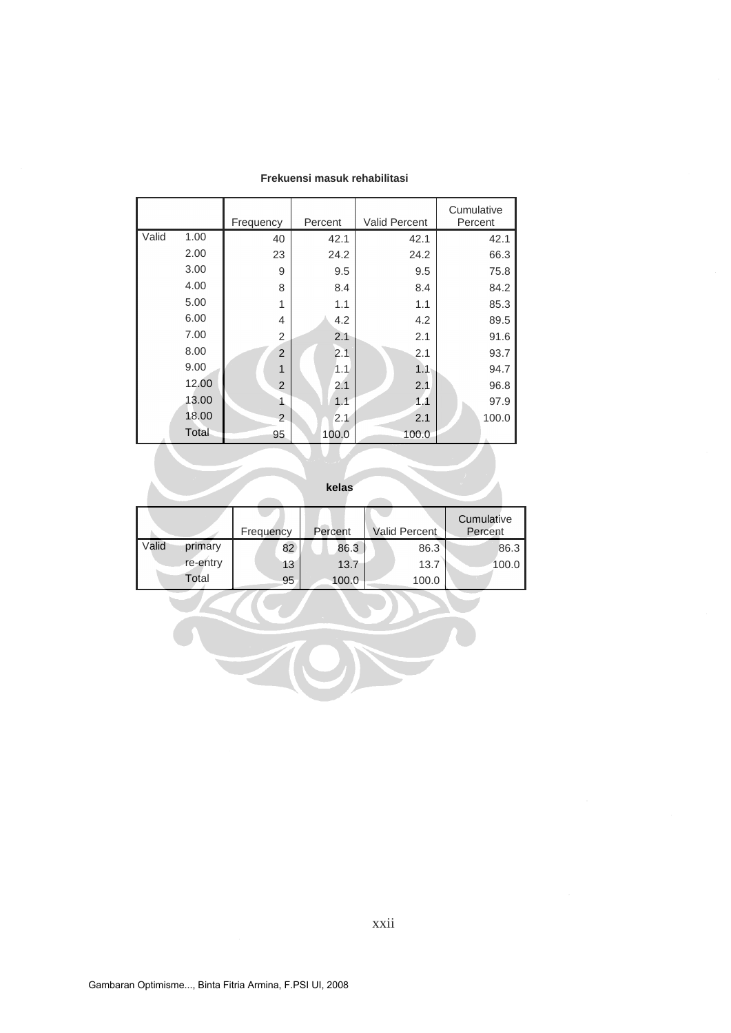|       |       | Frequency      | Percent | <b>Valid Percent</b> | Cumulative<br>Percent |
|-------|-------|----------------|---------|----------------------|-----------------------|
| Valid | 1.00  | 40             | 42.1    | 42.1                 | 42.1                  |
|       | 2.00  | 23             | 24.2    | 24.2                 | 66.3                  |
|       | 3.00  | 9              | 9.5     | 9.5                  | 75.8                  |
|       | 4.00  | 8              | 8.4     | 8.4                  | 84.2                  |
|       | 5.00  | 1              | 1.1     | 1.1                  | 85.3                  |
|       | 6.00  | 4              | 4.2     | 4.2                  | 89.5                  |
|       | 7.00  | $\overline{2}$ | 2.1     | 2.1                  | 91.6                  |
|       | 8.00  | $\overline{2}$ | 2.1     | 2.1                  | 93.7                  |
|       | 9.00  | 1              | 1.1     | 1.1                  | 94.7                  |
|       | 12.00 | 2              | 2.1     | 2.1                  | 96.8                  |
|       | 13.00 |                | 1.1     | 1.1                  | 97.9                  |
|       | 18.00 | $\overline{2}$ | 2.1     | 2.1                  | 100.0                 |
|       | Total | 95             | 100.0   | 100.0                |                       |

#### **Frekuensi masuk rehabilitasi**

**kelas**

|       |          | Frequency | Percent | <b>Valid Percent</b> | Cumulative<br>Percent |
|-------|----------|-----------|---------|----------------------|-----------------------|
| Valid | primary  | 82        | 86.3    | 86.3                 | 86.3                  |
|       | re-entry | 13        | 13.7    | 13.7                 | 100.0                 |
|       | Total    | 95        | 100.0   | 100.0                |                       |

JNU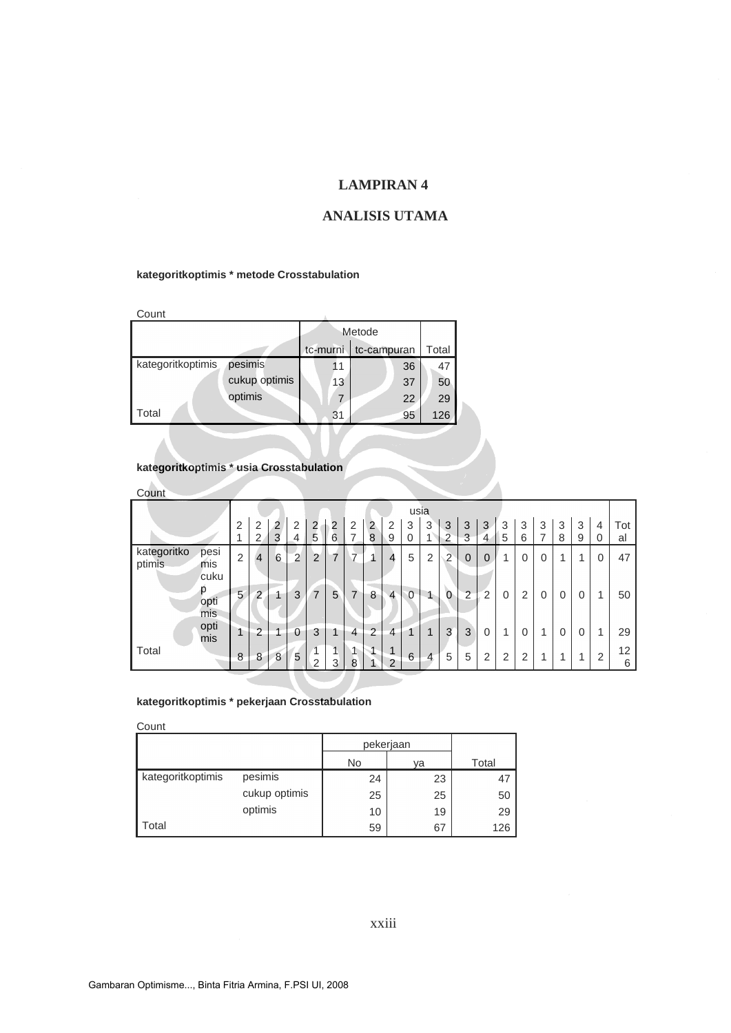### **ANALISIS UTAMA**

#### **kategoritkoptimis \* metode Crosstabulation**

Count

| Count             |               |          |             |       |
|-------------------|---------------|----------|-------------|-------|
|                   |               |          | Metode      |       |
|                   |               | tc-murni | tc-campuran | Total |
| kategoritkoptimis | pesimis       |          | 36          | 47    |
|                   | cukup optimis | 13       | 37          | 50    |
|                   | optimis       |          | 22          | 29    |
| l Total           |               | 31       | 95          | 126   |

## **kategoritkoptimis \* usia Crosstabulation**

| Count                                        |                |                |                |                |                     |                |                |                |                                |             |                |                |                |                |                |             |             |   |          |                |         |
|----------------------------------------------|----------------|----------------|----------------|----------------|---------------------|----------------|----------------|----------------|--------------------------------|-------------|----------------|----------------|----------------|----------------|----------------|-------------|-------------|---|----------|----------------|---------|
|                                              |                |                |                |                |                     |                |                |                |                                | usia        |                |                |                |                |                |             |             |   |          |                |         |
|                                              | 2              | $\overline{2}$ | $\overline{2}$ | $\overline{2}$ | 2                   | $\overline{2}$ | $\overline{2}$ | $\overline{2}$ | $\overline{2}$                 | 3           | 3              | 3              | 3              | 3              | 3              | 3           | 3           | 3 | 3        | $\overline{4}$ | Tot     |
|                                              |                | 2              | 3              | 4              | 5                   | 6              | ⇁              | 8              | 9                              | 0           | $\overline{4}$ | $\overline{2}$ | 3              | $\overline{4}$ | 5              | 6           | ⇁           | 8 | 9        | 0              | al      |
| kategoritko<br>pesi<br>ptimis<br>mis<br>cuku | $\overline{2}$ | $\overline{4}$ | 6              | $\overline{2}$ | $\overline{2}$      | 7              | 7              |                | 4                              | 5           | 2              | $\overline{2}$ | $\mathbf 0$    | $\mathbf 0$    |                | $\mathbf 0$ | $\mathbf 0$ | 4 | 1        | $\mathbf 0$    | 47      |
| р<br>opti<br>mis                             | 5              | $\overline{2}$ |                | 3              | $\overline{7}$      | 5              | 7              | 8              | $\overline{4}$                 | $\mathbf 0$ | 1              | $\Omega$       | $\overline{2}$ | 2              | $\overline{0}$ | 2           | $\mathbf 0$ | 0 | $\Omega$ | 1              | 50      |
| opti<br>mis                                  | 1              | $\overline{2}$ |                | 0              | 3                   | и              | 4              | $\Omega$       | 4                              |             | 1              | 3              | 3              | $\mathbf 0$    | и              | 0           | 1           | 0 | $\Omega$ | 1              | 29      |
| Total                                        | 8              | 8              | 8              | 5              | 1<br>$\overline{2}$ | и<br>3         | 1<br>8         |                | $\mathbf{1}$<br>$\overline{2}$ | 6           | 4              | 5              | 5              | 2              | $\overline{2}$ | 2           | 4           | и | A        | 2              | 12<br>6 |
|                                              |                |                |                |                |                     |                |                |                |                                |             |                |                |                |                |                |             |             |   |          |                |         |

#### **kategoritkoptimis \* pekerjaan Crosstabulation**

| Count             |               |    |           |       |
|-------------------|---------------|----|-----------|-------|
|                   |               |    | pekerjaan |       |
|                   |               | No | va        | Total |
| kategoritkoptimis | pesimis       | 24 | 23        | 47    |
|                   | cukup optimis | 25 | 25        | 50    |
|                   | optimis       | 10 | 19        | 29    |
| Total             |               | 59 | 67        | 126   |

### xxiii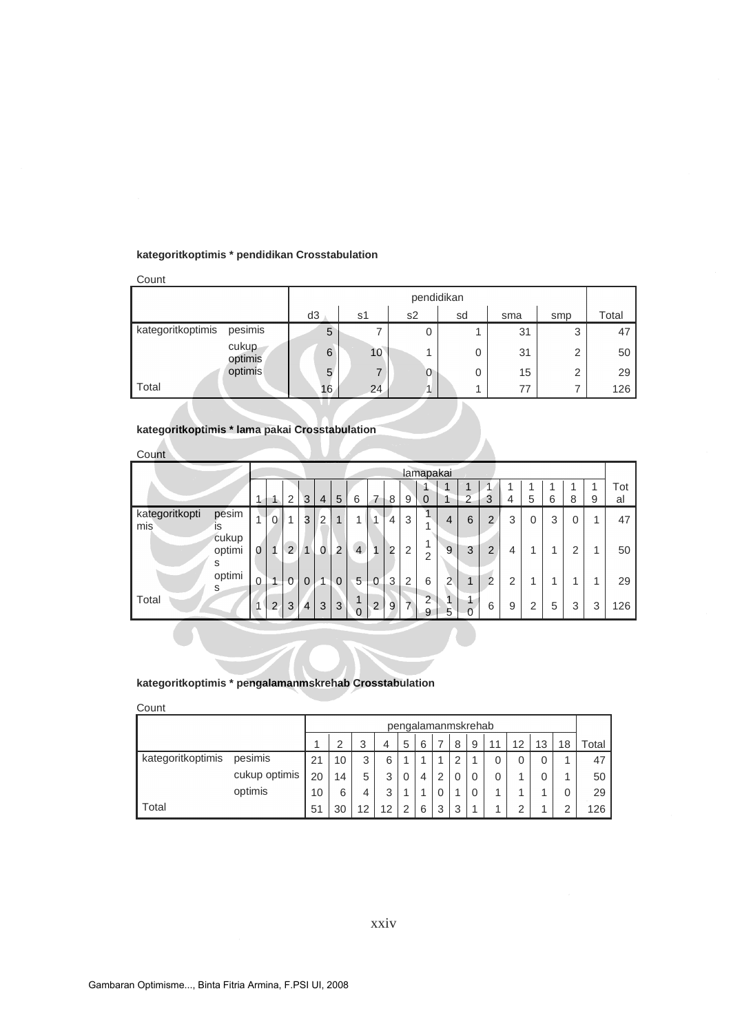#### **kategoritkoptimis \* pendidikan Crosstabulation**

| Count                        |    |    |                |          |     |                |       |
|------------------------------|----|----|----------------|----------|-----|----------------|-------|
|                              |    |    | pendidikan     |          |     |                |       |
|                              | d3 | s1 | s <sub>2</sub> | sd       | sma | smp            | Total |
| pesimis<br>kategoritkoptimis | 5  |    | 0              |          | 31  | 3              | 47    |
| cukup<br>optimis             | 6  | 10 | л              | 0        | 31  | $\overline{2}$ | 50    |
| optimis                      | 5  |    | 0              | $\Omega$ | 15  | $\overline{2}$ | 29    |
| Total                        | 16 | 24 |                |          | 77  | 7              | 126   |

### **kategoritkoptimis \* lama pakai Crosstabulation**

| Count                 |                      |                |                |                         |                |                |                |                |                |                |                |                     |                |                |                |   |   |   |          |   |     |
|-----------------------|----------------------|----------------|----------------|-------------------------|----------------|----------------|----------------|----------------|----------------|----------------|----------------|---------------------|----------------|----------------|----------------|---|---|---|----------|---|-----|
|                       |                      |                |                |                         |                |                |                |                |                |                |                | lamapakai           |                |                |                |   |   |   |          |   |     |
|                       |                      |                |                |                         |                |                |                |                |                |                |                |                     | $\overline{1}$ |                |                |   |   |   |          | 1 | Tot |
|                       |                      | 4              | 1              | $\overline{2}$          | 3              | $\overline{4}$ | 5              | 6              | 7              | 8              | 9              | $\overline{0}$      | 1              | $\overline{2}$ | 3              | 4 | 5 | 6 | 8        | 9 | al  |
| kategoritkopti<br>mis | pesim<br>is          | 4              | $\overline{0}$ | $\overline{\mathbf{A}}$ | 3              | $\overline{2}$ | 1              | 1              | $\overline{A}$ | $\overline{4}$ | 3              |                     | 4              | 6              | $\overline{2}$ | 3 | 0 | 3 | $\Omega$ | 4 | 47  |
|                       | cukup<br>optimi<br>S | $\Omega$       |                | $\overline{2}$          |                | $\Omega$       | $\overline{2}$ | $\overline{4}$ | $\mathbf{1}$   | $\overline{2}$ | 2              | и<br>$\overline{2}$ | 9              | 3              | $\overline{2}$ | 4 |   | 4 | 2        | и | 50  |
|                       | optimi<br>S          | $\overline{0}$ | $\overline{4}$ | $\mathbf 0$             | $\Omega$       | 1              | $\mathbf 0$    | 5              | $\mathbf 0$    | 3              | 2              | 6                   | $\Omega$       | 1              | $\overline{2}$ | 2 |   | 1 | и        | и | 29  |
| Total                 |                      |                | $\overline{2}$ | 3                       | $\overline{4}$ | 3              | 3              | и<br>$\Omega$  | $\overline{2}$ | 9              | $\overline{7}$ | $\overline{2}$<br>9 | 5              | D              | 6              | 9 | 2 | 5 | 3        | 3 | 126 |

#### **kategoritkoptimis \* pengalamanmskrehab Crosstabulation**

| Count             |               |    |    |    |    |   |   |                    |                |   |    |    |    |    |       |
|-------------------|---------------|----|----|----|----|---|---|--------------------|----------------|---|----|----|----|----|-------|
|                   |               |    |    |    |    |   |   | pengalamanmskrehab |                |   |    |    |    |    |       |
|                   |               |    | っ  | 3  | 4  | 5 | 6 |                    | 8              | 9 | 11 | 12 | 13 | 18 | Total |
| kategoritkoptimis | pesimis       | 21 | 10 | 3  | 6  |   |   |                    | $\overline{2}$ |   | 0  |    | 0  | и  | 47    |
|                   | cukup optimis | 20 | 14 | 5  | 3  | 0 | 4 | 2                  |                | 0 | 0  |    | 0  | ◢  | 50    |
|                   | optimis       | 10 | 6  | 4  | 3  |   |   | 0                  |                | 0 |    |    |    | 0  | 29    |
| Total             |               | 51 | 30 | 12 | 12 | 2 | 6 | 3                  | 3              |   |    | ⌒  |    | ◠  | 126   |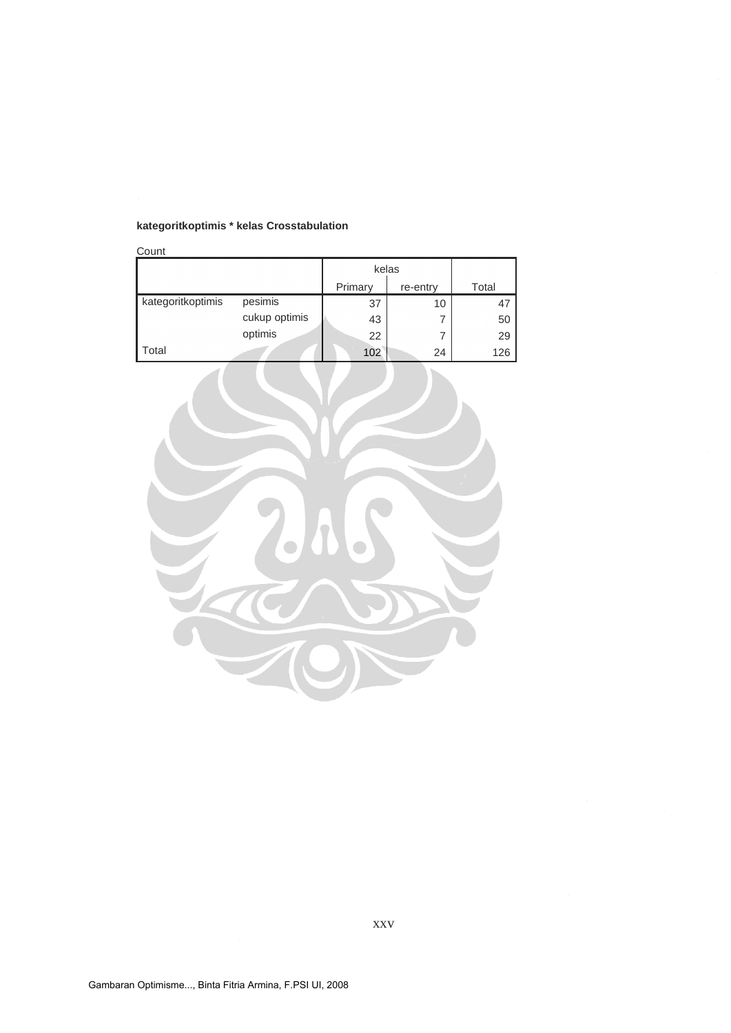## **kategoritkoptimis \* kelas Crosstabulation**

| Count             |               |         |          |       |
|-------------------|---------------|---------|----------|-------|
|                   |               | kelas   |          |       |
|                   |               | Primary | re-entry | Total |
| kategoritkoptimis | pesimis       | 37      | 10       | 47    |
|                   | cukup optimis | 43      |          | 50    |
|                   | optimis       | 22      |          | 29    |
| Total             |               | 102     | 24       | 126   |



xxv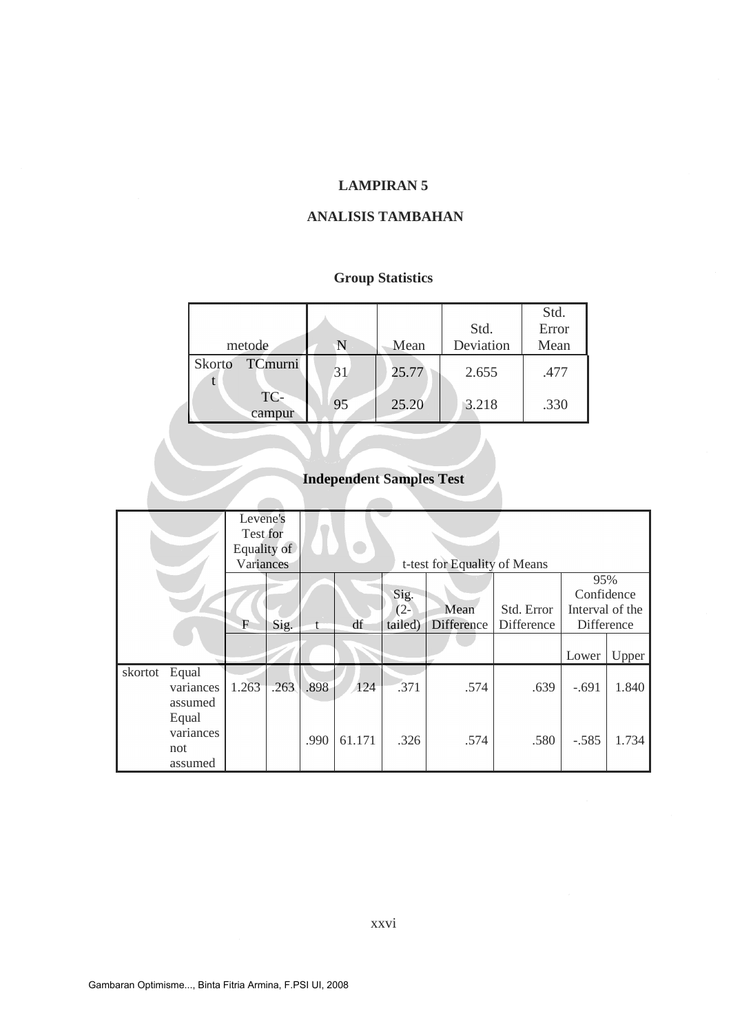### **ANALISIS TAMBAHAN**

## **Group Statistics**

| metode            |    | Mean  | Std.<br>Deviation | Std.<br>Error<br>Mean |
|-------------------|----|-------|-------------------|-----------------------|
| TCmurni<br>Skorto | 31 | 25.77 | 2.655             | .477                  |
| TC-<br>campur     | 95 | 25.20 | 3.218             | .330                  |

# **Independent Samples Test**

|         |           | Levene's<br>Test for<br>Equality of |      |      |        |         |                              |            |                 |       |
|---------|-----------|-------------------------------------|------|------|--------|---------|------------------------------|------------|-----------------|-------|
|         |           | Variances                           |      |      |        |         | t-test for Equality of Means |            |                 |       |
|         |           |                                     |      |      |        |         |                              |            |                 |       |
|         |           |                                     |      |      |        |         |                              |            | 95%             |       |
|         |           |                                     |      |      |        | Sig.    |                              |            | Confidence      |       |
|         |           |                                     |      |      |        | $(2 -$  | Mean                         | Std. Error | Interval of the |       |
|         |           | $\mathbf F$                         | Sig. |      | df     | tailed) | Difference                   | Difference | Difference      |       |
|         |           |                                     |      |      |        |         |                              |            |                 |       |
|         |           |                                     |      |      |        |         |                              |            | Lower           | Upper |
| skortot | Equal     |                                     |      |      |        |         |                              |            |                 |       |
|         | variances | 1.263                               | .263 | .898 | 124    | .371    | .574                         | .639       | $-.691$         | 1.840 |
|         | assumed   |                                     |      |      |        |         |                              |            |                 |       |
|         | Equal     |                                     |      |      |        |         |                              |            |                 |       |
|         | variances |                                     |      |      |        |         |                              |            |                 |       |
|         |           |                                     |      | .990 | 61.171 | .326    | .574                         | .580       | $-.585$         | 1.734 |
|         | not       |                                     |      |      |        |         |                              |            |                 |       |
|         | assumed   |                                     |      |      |        |         |                              |            |                 |       |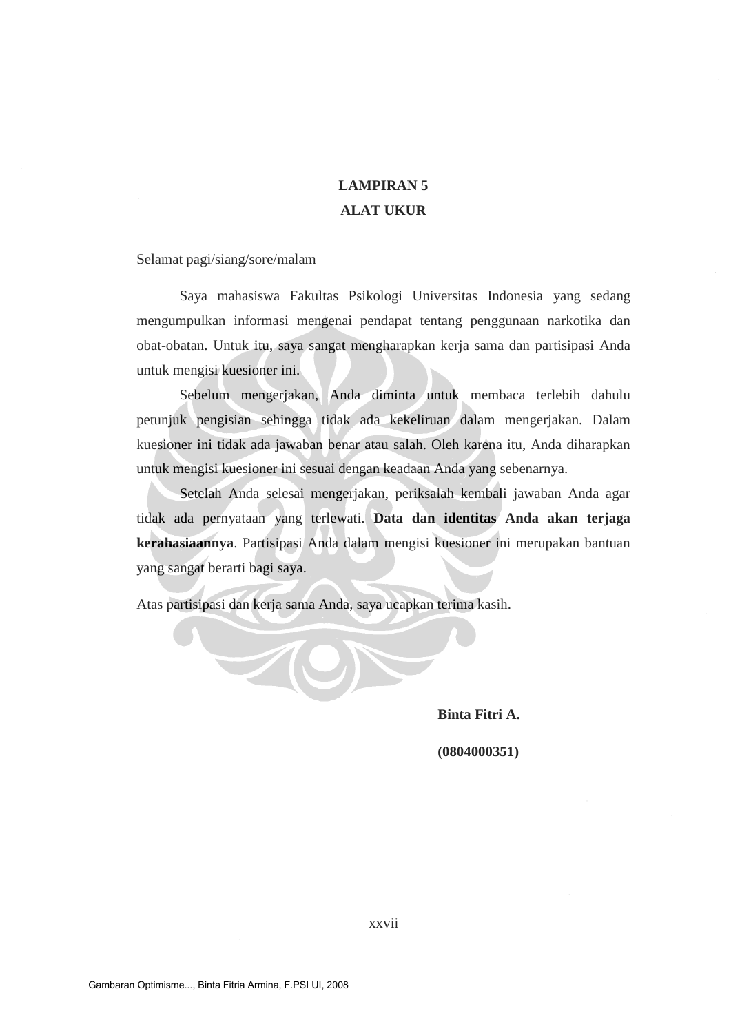# **LAMPIRAN 5 ALAT UKUR**

Selamat pagi/siang/sore/malam

Saya mahasiswa Fakultas Psikologi Universitas Indonesia yang sedang mengumpulkan informasi mengenai pendapat tentang penggunaan narkotika dan obat-obatan. Untuk itu, saya sangat mengharapkan kerja sama dan partisipasi Anda untuk mengisi kuesioner ini.

Sebelum mengerjakan, Anda diminta untuk membaca terlebih dahulu petunjuk pengisian sehingga tidak ada kekeliruan dalam mengerjakan. Dalam kuesioner ini tidak ada jawaban benar atau salah. Oleh karena itu, Anda diharapkan untuk mengisi kuesioner ini sesuai dengan keadaan Anda yang sebenarnya.

Setelah Anda selesai mengerjakan, periksalah kembali jawaban Anda agar tidak ada pernyataan yang terlewati. **Data dan identitas Anda akan terjaga kerahasiaannya**. Partisipasi Anda dalam mengisi kuesioner ini merupakan bantuan yang sangat berarti bagi saya.

Atas partisipasi dan kerja sama Anda, saya ucapkan terima kasih.

**Binta Fitri A.**

 **(0804000351)**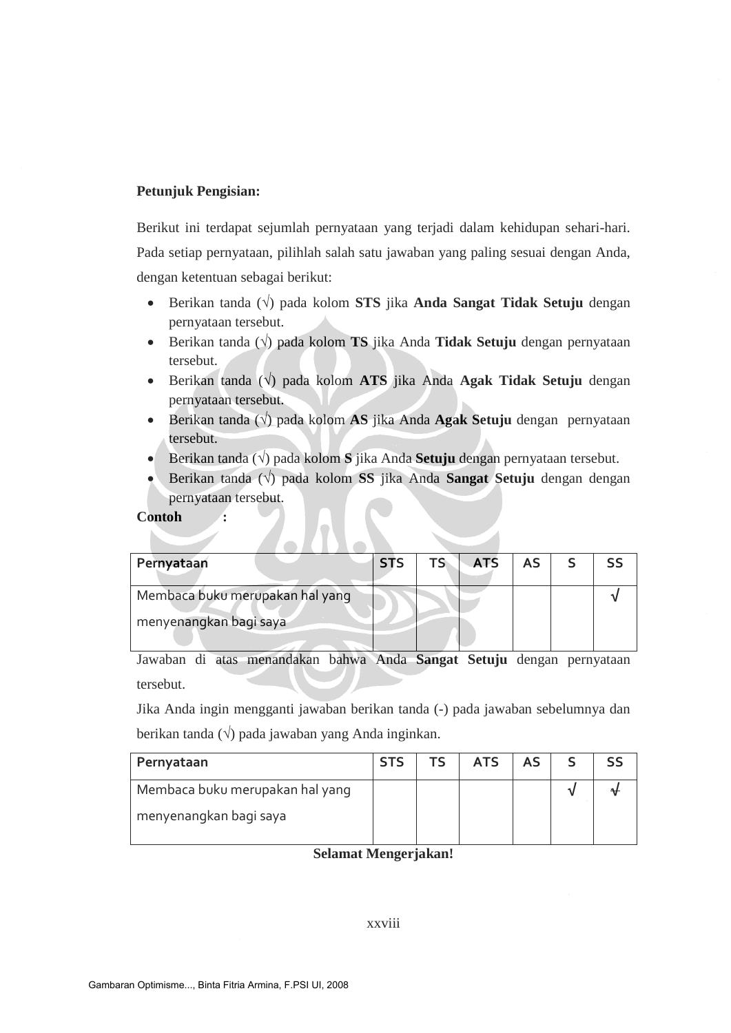### **Petunjuk Pengisian:**

Berikut ini terdapat sejumlah pernyataan yang terjadi dalam kehidupan sehari-hari. Pada setiap pernyataan, pilihlah salah satu jawaban yang paling sesuai dengan Anda, dengan ketentuan sebagai berikut:

- · Berikan tanda (√) pada kolom **STS** jika **Anda Sangat Tidak Setuju** dengan pernyataan tersebut.
- · Berikan tanda (√) pada kolom **TS** jika Anda **Tidak Setuju** dengan pernyataan tersebut.
- · Berikan tanda (√) pada kolom **ATS** jika Anda **Agak Tidak Setuju** dengan pernyataan tersebut.
- · Berikan tanda (√) pada kolom **AS** jika Anda **Agak Setuju** dengan pernyataan tersebut.
- · Berikan tanda (√) pada kolom **S** jika Anda **Setuju** dengan pernyataan tersebut.
- · Berikan tanda (√) pada kolom **SS** jika Anda **Sangat Setuju** dengan dengan pernyataan tersebut.

#### **Contoh :**

| Pernyataan                      | <b>STS</b> | TS. | <b>ATS</b> | <b>AS</b> |  |
|---------------------------------|------------|-----|------------|-----------|--|
| Membaca buku merupakan hal yang |            |     |            |           |  |
| menyenangkan bagi saya          |            |     |            |           |  |
|                                 |            |     |            |           |  |

Jawaban di atas menandakan bahwa Anda **Sangat Setuju** dengan pernyataan tersebut.

Jika Anda ingin mengganti jawaban berikan tanda (-) pada jawaban sebelumnya dan berikan tanda (**√**) pada jawaban yang Anda inginkan.

| Pernyataan                      | <b>STS</b> | TS | <b>ATS</b> | <b>AS</b> |  |
|---------------------------------|------------|----|------------|-----------|--|
| Membaca buku merupakan hal yang |            |    |            |           |  |
| menyenangkan bagi saya          |            |    |            |           |  |

**Selamat Mengerjakan!**

#### xxviii